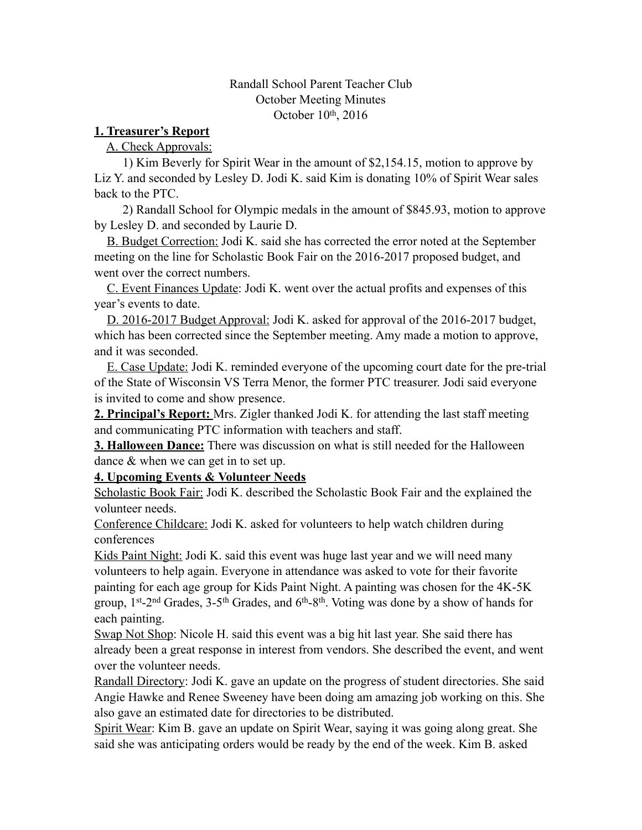## Randall School Parent Teacher Club October Meeting Minutes October 10<sup>th</sup>, 2016

## **1. Treasurer's Report**

A. Check Approvals:

 1) Kim Beverly for Spirit Wear in the amount of \$2,154.15, motion to approve by Liz Y. and seconded by Lesley D. Jodi K. said Kim is donating 10% of Spirit Wear sales back to the PTC.

 2) Randall School for Olympic medals in the amount of \$845.93, motion to approve by Lesley D. and seconded by Laurie D.

 B. Budget Correction: Jodi K. said she has corrected the error noted at the September meeting on the line for Scholastic Book Fair on the 2016-2017 proposed budget, and went over the correct numbers.

 C. Event Finances Update: Jodi K. went over the actual profits and expenses of this year's events to date.

 D. 2016-2017 Budget Approval: Jodi K. asked for approval of the 2016-2017 budget, which has been corrected since the September meeting. Amy made a motion to approve, and it was seconded.

 E. Case Update: Jodi K. reminded everyone of the upcoming court date for the pre-trial of the State of Wisconsin VS Terra Menor, the former PTC treasurer. Jodi said everyone is invited to come and show presence.

**2. Principal's Report:** Mrs. Zigler thanked Jodi K. for attending the last staff meeting and communicating PTC information with teachers and staff.

**3. Halloween Dance:** There was discussion on what is still needed for the Halloween dance & when we can get in to set up.

**4. Upcoming Events & Volunteer Needs** 

Scholastic Book Fair: Jodi K. described the Scholastic Book Fair and the explained the volunteer needs.

Conference Childcare: Jodi K. asked for volunteers to help watch children during conferences

Kids Paint Night: Jodi K. said this event was huge last year and we will need many volunteers to help again. Everyone in attendance was asked to vote for their favorite painting for each age group for Kids Paint Night. A painting was chosen for the 4K-5K group,  $1^{st}$ -2<sup>nd</sup> Grades,  $3$ -5<sup>th</sup> Grades, and  $6^{th}$ -8<sup>th</sup>. Voting was done by a show of hands for each painting.

Swap Not Shop: Nicole H. said this event was a big hit last year. She said there has already been a great response in interest from vendors. She described the event, and went over the volunteer needs.

Randall Directory: Jodi K. gave an update on the progress of student directories. She said Angie Hawke and Renee Sweeney have been doing am amazing job working on this. She also gave an estimated date for directories to be distributed.

Spirit Wear: Kim B. gave an update on Spirit Wear, saying it was going along great. She said she was anticipating orders would be ready by the end of the week. Kim B. asked